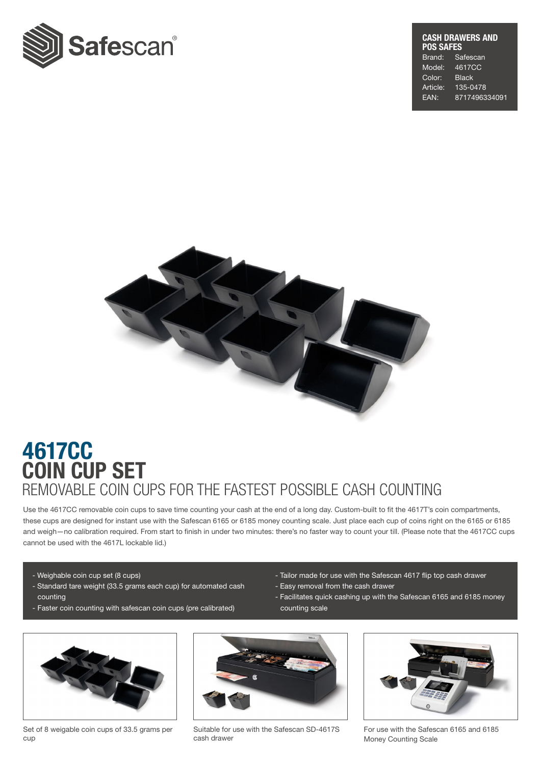

## CASH DRAWERS AND POS SAFES Brand: Safescan Model: 4617CC Color: Black Article: 135-0478 EAN: 8717496334091



## COIN CUP SET 4617CC REMOVABLE COIN CUPS FOR THE FASTEST POSSIBLE CASH COUNTING

Use the 4617CC removable coin cups to save time counting your cash at the end of a long day. Custom-built to fit the 4617T's coin compartments, these cups are designed for instant use with the Safescan 6165 or 6185 money counting scale. Just place each cup of coins right on the 6165 or 6185 and weigh—no calibration required. From start to fnish in under two minutes: there's no faster way to count your till. (Please note that the 4617CC cups cannot be used with the 4617L lockable lid.)

- Weighable coin cup set (8 cups)
- Standard tare weight (33.5 grams each cup) for automated cash counting
- Faster coin counting with safescan coin cups (pre calibrated)
- Tailor made for use with the Safescan 4617 flip top cash drawer
- Easy removal from the cash drawer
- Facilitates quick cashing up with the Safescan 6165 and 6185 money counting scale



Set of 8 weigable coin cups of 33.5 grams per cup



Suitable for use with the Safescan SD-4617S cash drawer



For use with the Safescan 6165 and 6185 Money Counting Scale